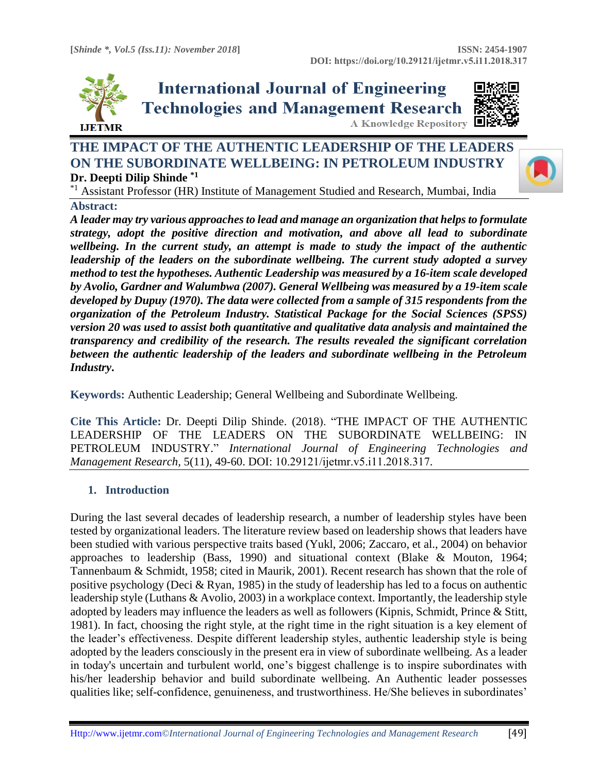

**International Journal of Engineering Technologies and Management Research** A Knowledge Repository



# **THE IMPACT OF THE AUTHENTIC LEADERSHIP OF THE LEADERS ON THE SUBORDINATE WELLBEING: IN PETROLEUM INDUSTRY Dr. Deepti Dilip Shinde \*1**



\*1 Assistant Professor (HR) Institute of Management Studied and Research, Mumbai, India

#### **Abstract:**

*A leader may try various approaches to lead and manage an organization that helps to formulate strategy, adopt the positive direction and motivation, and above all lead to subordinate wellbeing. In the current study, an attempt is made to study the impact of the authentic leadership of the leaders on the subordinate wellbeing. The current study adopted a survey method to test the hypotheses. Authentic Leadership was measured by a 16-item scale developed by Avolio, Gardner and Walumbwa (2007). General Wellbeing was measured by a 19-item scale developed by Dupuy (1970). The data were collected from a sample of 315 respondents from the organization of the Petroleum Industry. Statistical Package for the Social Sciences (SPSS) version 20 was used to assist both quantitative and qualitative data analysis and maintained the transparency and credibility of the research. The results revealed the significant correlation between the authentic leadership of the leaders and subordinate wellbeing in the Petroleum Industry***.**

**Keywords:** Authentic Leadership; General Wellbeing and Subordinate Wellbeing*.* 

**Cite This Article:** Dr. Deepti Dilip Shinde. (2018). "THE IMPACT OF THE AUTHENTIC LEADERSHIP OF THE LEADERS ON THE SUBORDINATE WELLBEING: IN PETROLEUM INDUSTRY." *International Journal of Engineering Technologies and Management Research,* 5(11), 49-60. DOI: 10.29121/ijetmr.v5.i11.2018.317.

# **1. Introduction**

During the last several decades of leadership research, a number of leadership styles have been tested by organizational leaders. The literature review based on leadership shows that leaders have been studied with various perspective traits based (Yukl, 2006; Zaccaro, et al., 2004) on behavior approaches to leadership (Bass, 1990) and situational context (Blake & Mouton, 1964; Tannenbaum & Schmidt, 1958; cited in Maurik, 2001). Recent research has shown that the role of positive psychology (Deci & Ryan, 1985) in the study of leadership has led to a focus on authentic leadership style (Luthans & Avolio, 2003) in a workplace context. Importantly, the leadership style adopted by leaders may influence the leaders as well as followers (Kipnis, Schmidt, Prince & Stitt, 1981). In fact, choosing the right style, at the right time in the right situation is a key element of the leader's effectiveness. Despite different leadership styles, authentic leadership style is being adopted by the leaders consciously in the present era in view of subordinate wellbeing. As a leader in today's uncertain and turbulent world, one's biggest challenge is to inspire subordinates with his/her leadership behavior and build subordinate wellbeing. An Authentic leader possesses qualities like; self-confidence, genuineness, and trustworthiness. He/She believes in subordinates'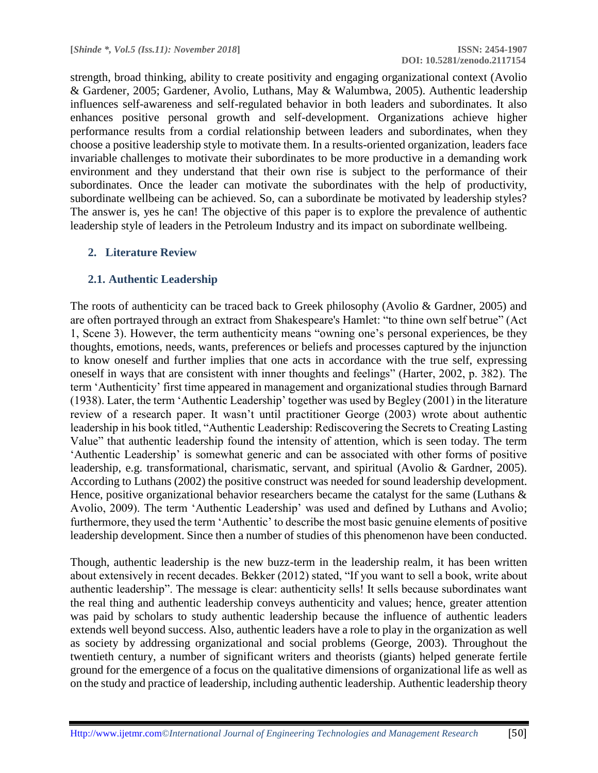strength, broad thinking, ability to create positivity and engaging organizational context (Avolio & Gardener, 2005; Gardener, Avolio, Luthans, May & Walumbwa, 2005). Authentic leadership influences self-awareness and self-regulated behavior in both leaders and subordinates. It also enhances positive personal growth and self-development. Organizations achieve higher performance results from a cordial relationship between leaders and subordinates, when they choose a positive leadership style to motivate them. In a results-oriented organization, leaders face invariable challenges to motivate their subordinates to be more productive in a demanding work environment and they understand that their own rise is subject to the performance of their subordinates. Once the leader can motivate the subordinates with the help of productivity, subordinate wellbeing can be achieved. So, can a subordinate be motivated by leadership styles? The answer is, yes he can! The objective of this paper is to explore the prevalence of authentic leadership style of leaders in the Petroleum Industry and its impact on subordinate wellbeing.

# **2. Literature Review**

# **2.1. Authentic Leadership**

The roots of authenticity can be traced back to Greek philosophy (Avolio & Gardner, 2005) and are often portrayed through an extract from Shakespeare's Hamlet: "to thine own self betrue" (Act 1, Scene 3). However, the term authenticity means "owning one's personal experiences, be they thoughts, emotions, needs, wants, preferences or beliefs and processes captured by the injunction to know oneself and further implies that one acts in accordance with the true self, expressing oneself in ways that are consistent with inner thoughts and feelings" (Harter, 2002, p. 382). The term 'Authenticity' first time appeared in management and organizational studies through Barnard (1938). Later, the term 'Authentic Leadership' together was used by Begley (2001) in the literature review of a research paper. It wasn't until practitioner George (2003) wrote about authentic leadership in his book titled, "Authentic Leadership: Rediscovering the Secrets to Creating Lasting Value" that authentic leadership found the intensity of attention, which is seen today. The term 'Authentic Leadership' is somewhat generic and can be associated with other forms of positive leadership, e.g. transformational, charismatic, servant, and spiritual (Avolio & Gardner, 2005). According to Luthans (2002) the positive construct was needed for sound leadership development. Hence, positive organizational behavior researchers became the catalyst for the same (Luthans & Avolio, 2009). The term 'Authentic Leadership' was used and defined by Luthans and Avolio; furthermore, they used the term 'Authentic' to describe the most basic genuine elements of positive leadership development. Since then a number of studies of this phenomenon have been conducted.

Though, authentic leadership is the new buzz-term in the leadership realm, it has been written about extensively in recent decades. Bekker (2012) stated, "If you want to sell a book, write about authentic leadership". The message is clear: authenticity sells! It sells because subordinates want the real thing and authentic leadership conveys authenticity and values; hence, greater attention was paid by scholars to study authentic leadership because the influence of authentic leaders extends well beyond success. Also, authentic leaders have a role to play in the organization as well as society by addressing organizational and social problems (George, 2003). Throughout the twentieth century, a number of significant writers and theorists (giants) helped generate fertile ground for the emergence of a focus on the qualitative dimensions of organizational life as well as on the study and practice of leadership, including authentic leadership. Authentic leadership theory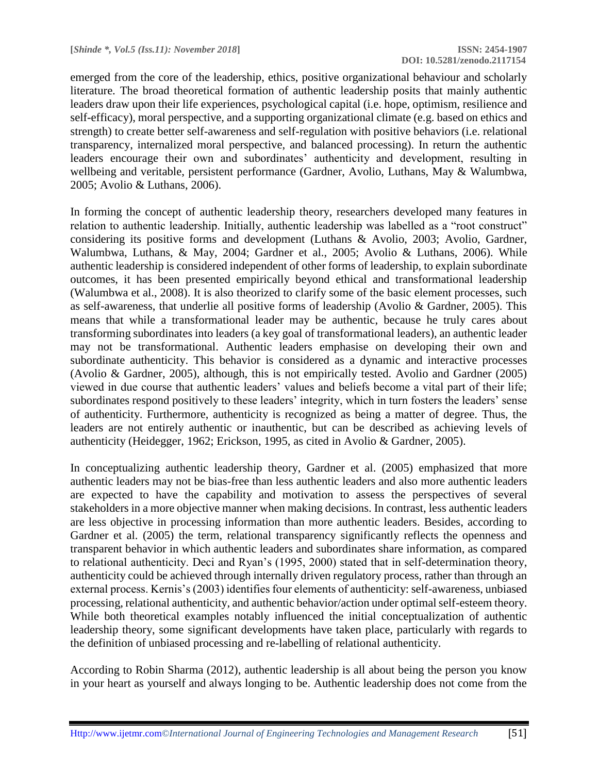emerged from the core of the leadership, ethics, positive organizational behaviour and scholarly literature. The broad theoretical formation of authentic leadership posits that mainly authentic leaders draw upon their life experiences, psychological capital (i.e. hope, optimism, resilience and self-efficacy), moral perspective, and a supporting organizational climate (e.g. based on ethics and strength) to create better self-awareness and self-regulation with positive behaviors (i.e. relational transparency, internalized moral perspective, and balanced processing). In return the authentic leaders encourage their own and subordinates' authenticity and development, resulting in wellbeing and veritable, persistent performance (Gardner, Avolio, Luthans, May & Walumbwa, 2005; Avolio & Luthans, 2006).

In forming the concept of authentic leadership theory, researchers developed many features in relation to authentic leadership. Initially, authentic leadership was labelled as a "root construct" considering its positive forms and development (Luthans & Avolio, 2003; Avolio, Gardner, Walumbwa, Luthans, & May, 2004; Gardner et al., 2005; Avolio & Luthans, 2006). While authentic leadership is considered independent of other forms of leadership, to explain subordinate outcomes, it has been presented empirically beyond ethical and transformational leadership (Walumbwa et al., 2008). It is also theorized to clarify some of the basic element processes, such as self-awareness, that underlie all positive forms of leadership (Avolio & Gardner, 2005). This means that while a transformational leader may be authentic, because he truly cares about transforming subordinates into leaders (a key goal of transformational leaders), an authentic leader may not be transformational. Authentic leaders emphasise on developing their own and subordinate authenticity. This behavior is considered as a dynamic and interactive processes (Avolio & Gardner, 2005), although, this is not empirically tested. Avolio and Gardner (2005) viewed in due course that authentic leaders' values and beliefs become a vital part of their life; subordinates respond positively to these leaders' integrity, which in turn fosters the leaders' sense of authenticity. Furthermore, authenticity is recognized as being a matter of degree. Thus, the leaders are not entirely authentic or inauthentic, but can be described as achieving levels of authenticity (Heidegger, 1962; Erickson, 1995, as cited in Avolio & Gardner, 2005).

In conceptualizing authentic leadership theory, Gardner et al. (2005) emphasized that more authentic leaders may not be bias-free than less authentic leaders and also more authentic leaders are expected to have the capability and motivation to assess the perspectives of several stakeholders in a more objective manner when making decisions. In contrast, less authentic leaders are less objective in processing information than more authentic leaders. Besides, according to Gardner et al. (2005) the term, relational transparency significantly reflects the openness and transparent behavior in which authentic leaders and subordinates share information, as compared to relational authenticity. Deci and Ryan's (1995, 2000) stated that in self-determination theory, authenticity could be achieved through internally driven regulatory process, rather than through an external process. Kernis's (2003) identifies four elements of authenticity: self-awareness, unbiased processing, relational authenticity, and authentic behavior/action under optimal self-esteem theory. While both theoretical examples notably influenced the initial conceptualization of authentic leadership theory, some significant developments have taken place, particularly with regards to the definition of unbiased processing and re-labelling of relational authenticity.

According to Robin Sharma (2012), authentic leadership is all about being the person you know in your heart as yourself and always longing to be. Authentic leadership does not come from the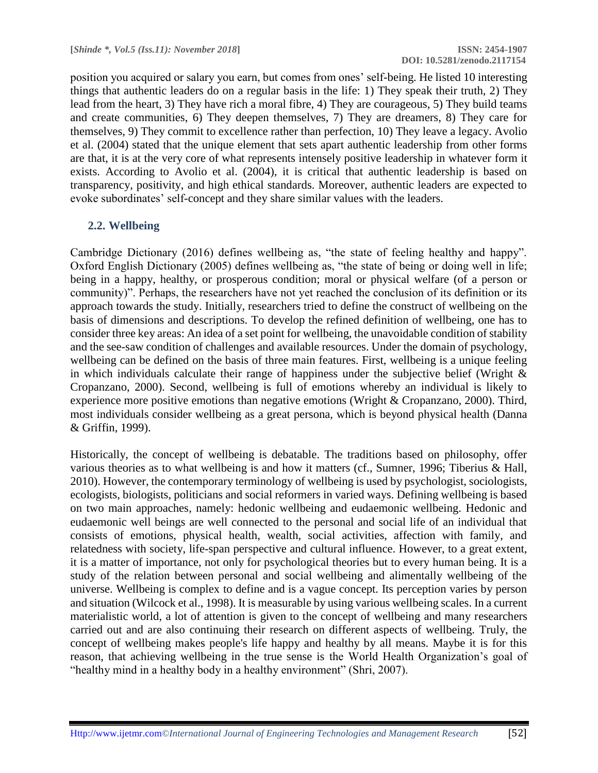position you acquired or salary you earn, but comes from ones' self-being. He listed 10 interesting things that authentic leaders do on a regular basis in the life: 1) They speak their truth, 2) They lead from the heart, 3) They have rich a moral fibre, 4) They are courageous, 5) They build teams and create communities, 6) They deepen themselves, 7) They are dreamers, 8) They care for themselves, 9) They commit to excellence rather than perfection, 10) They leave a legacy. Avolio et al. (2004) stated that the unique element that sets apart authentic leadership from other forms are that, it is at the very core of what represents intensely positive leadership in whatever form it exists. According to Avolio et al. (2004), it is critical that authentic leadership is based on transparency, positivity, and high ethical standards. Moreover, authentic leaders are expected to evoke subordinates' self-concept and they share similar values with the leaders.

# **2.2. Wellbeing**

Cambridge Dictionary (2016) defines wellbeing as, "the state of feeling healthy and happy". Oxford English Dictionary (2005) defines wellbeing as, "the state of being or doing well in life; being in a happy, healthy, or prosperous condition; moral or physical welfare (of a person or community)". Perhaps, the researchers have not yet reached the conclusion of its definition or its approach towards the study. Initially, researchers tried to define the construct of wellbeing on the basis of dimensions and descriptions. To develop the refined definition of wellbeing, one has to consider three key areas: An idea of a set point for wellbeing, the unavoidable condition of stability and the see-saw condition of challenges and available resources. Under the domain of psychology, wellbeing can be defined on the basis of three main features. First, wellbeing is a unique feeling in which individuals calculate their range of happiness under the subjective belief (Wright  $\&$ Cropanzano, 2000). Second, wellbeing is full of emotions whereby an individual is likely to experience more positive emotions than negative emotions (Wright & Cropanzano, 2000). Third, most individuals consider wellbeing as a great persona, which is beyond physical health (Danna & Griffin, 1999).

Historically, the concept of wellbeing is debatable. The traditions based on philosophy, offer various theories as to what wellbeing is and how it matters (cf., Sumner, 1996; Tiberius & Hall, 2010). However, the contemporary terminology of wellbeing is used by psychologist, sociologists, ecologists, biologists, politicians and social reformers in varied ways. Defining wellbeing is based on two main approaches, namely: hedonic wellbeing and eudaemonic wellbeing. Hedonic and eudaemonic well beings are well connected to the personal and social life of an individual that consists of emotions, physical health, wealth, social activities, affection with family, and relatedness with society, life-span perspective and cultural influence. However, to a great extent, it is a matter of importance, not only for psychological theories but to every human being. It is a study of the relation between personal and social wellbeing and alimentally wellbeing of the universe. Wellbeing is complex to define and is a vague concept. Its perception varies by person and situation (Wilcock et al., 1998). It is measurable by using various wellbeing scales. In a current materialistic world, a lot of attention is given to the concept of wellbeing and many researchers carried out and are also continuing their research on different aspects of wellbeing. Truly, the concept of wellbeing makes people's life happy and healthy by all means. Maybe it is for this reason, that achieving wellbeing in the true sense is the World Health Organization's goal of "healthy mind in a healthy body in a healthy environment" (Shri, 2007).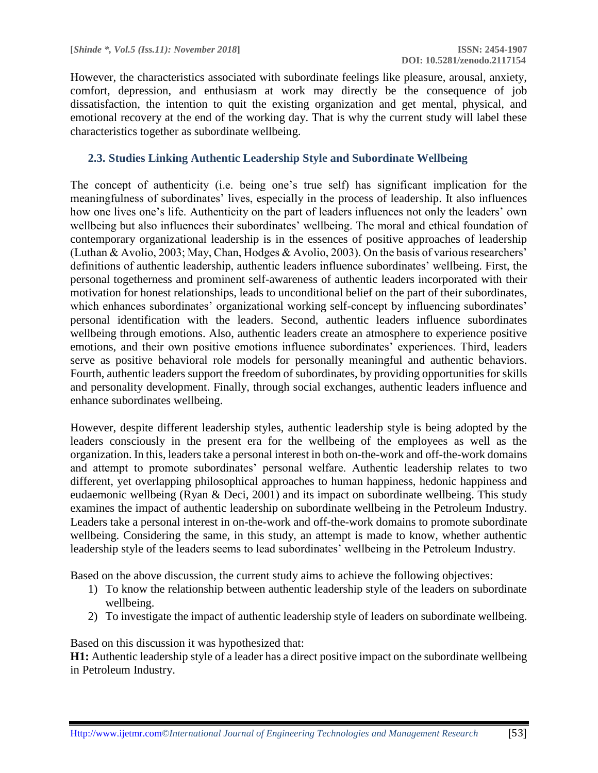However, the characteristics associated with subordinate feelings like pleasure, arousal, anxiety, comfort, depression, and enthusiasm at work may directly be the consequence of job dissatisfaction, the intention to quit the existing organization and get mental, physical, and emotional recovery at the end of the working day. That is why the current study will label these characteristics together as subordinate wellbeing.

#### **2.3. Studies Linking Authentic Leadership Style and Subordinate Wellbeing**

The concept of authenticity (i.e. being one's true self) has significant implication for the meaningfulness of subordinates' lives, especially in the process of leadership. It also influences how one lives one's life. Authenticity on the part of leaders influences not only the leaders' own wellbeing but also influences their subordinates' wellbeing. The moral and ethical foundation of contemporary organizational leadership is in the essences of positive approaches of leadership (Luthan & Avolio, 2003; May, Chan, Hodges & Avolio, 2003). On the basis of various researchers' definitions of authentic leadership, authentic leaders influence subordinates' wellbeing. First, the personal togetherness and prominent self-awareness of authentic leaders incorporated with their motivation for honest relationships, leads to unconditional belief on the part of their subordinates, which enhances subordinates' organizational working self-concept by influencing subordinates' personal identification with the leaders. Second, authentic leaders influence subordinates wellbeing through emotions. Also, authentic leaders create an atmosphere to experience positive emotions, and their own positive emotions influence subordinates' experiences. Third, leaders serve as positive behavioral role models for personally meaningful and authentic behaviors. Fourth, authentic leaders support the freedom of subordinates, by providing opportunities for skills and personality development. Finally, through social exchanges, authentic leaders influence and enhance subordinates wellbeing.

However, despite different leadership styles, authentic leadership style is being adopted by the leaders consciously in the present era for the wellbeing of the employees as well as the organization. In this, leaders take a personal interest in both on-the-work and off-the-work domains and attempt to promote subordinates' personal welfare. Authentic leadership relates to two different, yet overlapping philosophical approaches to human happiness, hedonic happiness and eudaemonic wellbeing (Ryan & Deci, 2001) and its impact on subordinate wellbeing. This study examines the impact of authentic leadership on subordinate wellbeing in the Petroleum Industry. Leaders take a personal interest in on-the-work and off-the-work domains to promote subordinate wellbeing. Considering the same, in this study, an attempt is made to know, whether authentic leadership style of the leaders seems to lead subordinates' wellbeing in the Petroleum Industry.

Based on the above discussion, the current study aims to achieve the following objectives:

- 1) To know the relationship between authentic leadership style of the leaders on subordinate wellbeing.
- 2) To investigate the impact of authentic leadership style of leaders on subordinate wellbeing.

Based on this discussion it was hypothesized that:

**H1:** Authentic leadership style of a leader has a direct positive impact on the subordinate wellbeing in Petroleum Industry.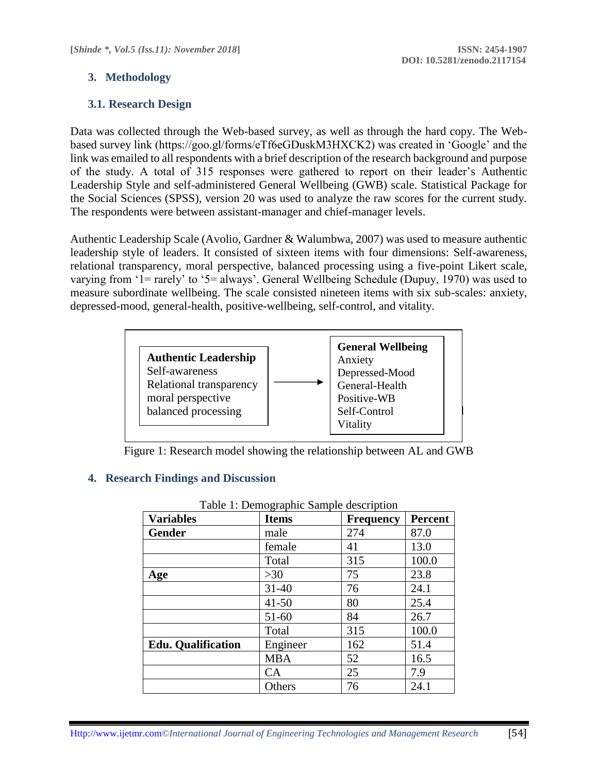# **3. Methodology**

# **3.1. Research Design**

Data was collected through the Web-based survey, as well as through the hard copy. The Webbased survey link (https://goo.gl/forms/eTf6eGDuskM3HXCK2) was created in 'Google' and the link was emailed to all respondents with a brief description of the research background and purpose of the study. A total of 315 responses were gathered to report on their leader's Authentic Leadership Style and self-administered General Wellbeing (GWB) scale. Statistical Package for the Social Sciences (SPSS), version 20 was used to analyze the raw scores for the current study. The respondents were between assistant-manager and chief-manager levels.

Authentic Leadership Scale (Avolio, Gardner & Walumbwa, 2007) was used to measure authentic leadership style of leaders. It consisted of sixteen items with four dimensions: Self-awareness, relational transparency, moral perspective, balanced processing using a five-point Likert scale, varying from '1= rarely' to '5= always'. General Wellbeing Schedule (Dupuy, 1970) was used to measure subordinate wellbeing. The scale consisted nineteen items with six sub-scales: anxiety, depressed-mood, general-health, positive-wellbeing, self-control, and vitality.



Figure 1: Research model showing the relationship between AL and GWB

# **4. Research Findings and Discussion**

| Table 1: Demographic Sample description |              |                  |                |  |  |
|-----------------------------------------|--------------|------------------|----------------|--|--|
| <b>Variables</b>                        | <b>Items</b> | <b>Frequency</b> | <b>Percent</b> |  |  |
| <b>Gender</b>                           | male         | 274              | 87.0           |  |  |
|                                         | female       | 41               | 13.0           |  |  |
|                                         | Total        | 315              | 100.0          |  |  |
| Age                                     | >30          | 75               | 23.8           |  |  |
|                                         | $31 - 40$    | 76               | 24.1           |  |  |
|                                         | $41 - 50$    | 80               | 25.4           |  |  |
|                                         | $51 - 60$    | 84               | 26.7           |  |  |
|                                         | Total        | 315              | 100.0          |  |  |
| <b>Edu.</b> Qualification               | Engineer     | 162              | 51.4           |  |  |
|                                         | <b>MBA</b>   | 52               | 16.5           |  |  |
|                                         | CA           | 25               | 7.9            |  |  |
|                                         | Others       | 76               | 24.1           |  |  |

#### Table 1: Demographic Sample description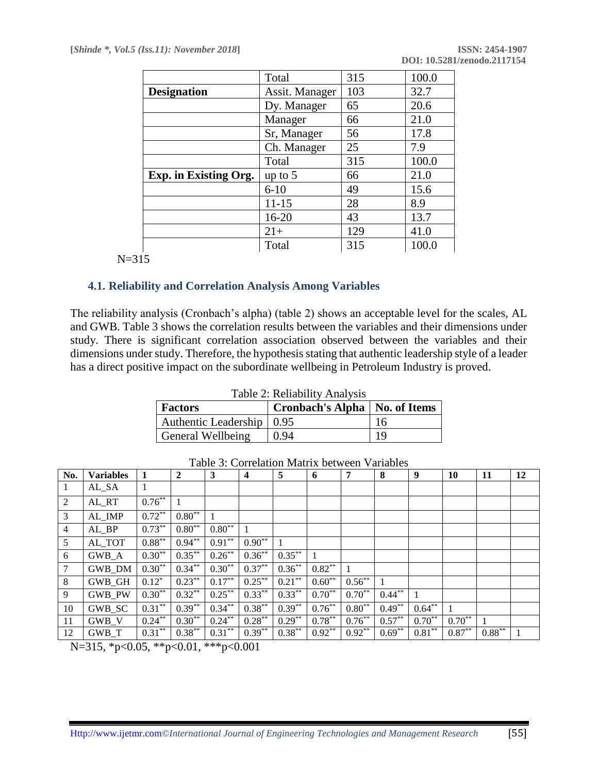|                       | Total          | 315 | 100.0 |
|-----------------------|----------------|-----|-------|
| <b>Designation</b>    | Assit. Manager |     | 32.7  |
|                       | Dy. Manager    | 65  | 20.6  |
|                       | Manager        | 66  | 21.0  |
|                       | Sr, Manager    | 56  | 17.8  |
|                       | Ch. Manager    | 25  | 7.9   |
|                       | Total          | 315 | 100.0 |
| Exp. in Existing Org. | up to $5$      | 66  | 21.0  |
|                       | $6 - 10$       | 49  | 15.6  |
|                       | $11 - 15$      | 28  | 8.9   |
|                       | $16 - 20$      | 43  | 13.7  |
|                       | $21+$          | 129 | 41.0  |
|                       | Total          | 315 | 100.0 |

#### $N = 315$

#### **4.1. Reliability and Correlation Analysis Among Variables**

The reliability analysis (Cronbach's alpha) (table 2) shows an acceptable level for the scales, AL and GWB. Table 3 shows the correlation results between the variables and their dimensions under study. There is significant correlation association observed between the variables and their dimensions under study. Therefore, the hypothesis stating that authentic leadership style of a leader has a direct positive impact on the subordinate wellbeing in Petroleum Industry is proved.

| Table 2: Reliability Analysis |                                 |     |  |  |
|-------------------------------|---------------------------------|-----|--|--|
| <b>Factors</b>                | Cronbach's Alpha   No. of Items |     |  |  |
| Authentic Leadership   0.95   |                                 | -16 |  |  |

| No.            | <b>Variables</b> |             | $\overline{2}$ | $\mathbf{3}$ | 4           | 5           | 6         | 7         | 8         | 9                    | 10           | 11        | 12 |
|----------------|------------------|-------------|----------------|--------------|-------------|-------------|-----------|-----------|-----------|----------------------|--------------|-----------|----|
| 1              | AL_SA            |             |                |              |             |             |           |           |           |                      |              |           |    |
| 2              | AL RT            | $0.76***$   |                |              |             |             |           |           |           |                      |              |           |    |
| 3              | AL IMP           | $0.72***$   | $0.80**$       |              |             |             |           |           |           |                      |              |           |    |
| $\overline{4}$ | AL BP            | $0.73***$   | $0.80**$       | $0.80**$     | 1           |             |           |           |           |                      |              |           |    |
| 5              | AL_TOT           | $0.88***$   | $0.94***$      | $0.91**$     | $0.90^{**}$ |             |           |           |           |                      |              |           |    |
| 6              | GWB A            | $0.30^{**}$ | $0.35***$      | $0.26***$    | $0.36***$   | $0.35^{**}$ |           |           |           |                      |              |           |    |
| $\tau$         | GWB_DM           | $0.30**$    | $0.34***$      | $0.30**$     | $0.37**$    | $0.36***$   | $0.82**$  |           |           |                      |              |           |    |
| 8              | GWB GH           | $0.12*$     | $0.23***$      | $0.17***$    | $0.25***$   | $0.21***$   | $0.60**$  | $0.56***$ |           |                      |              |           |    |
| 9              | GWB_PW           | $0.30**$    | $0.32**$       | $0.25***$    | $0.33***$   | $0.33***$   | $0.70**$  | $0.70**$  | $0.44***$ |                      |              |           |    |
| 10             | GWB_SC           | $0.31***$   | $0.39***$      | $0.34***$    | $0.38***$   | $0.39***$   | $0.76***$ | $0.80**$  | $0.49**$  | $0.64$ <sup>**</sup> |              |           |    |
| 11             | GWB V            | $0.24***$   | $0.30**$       | $0.24***$    | $0.28***$   | $0.29***$   | $0.78***$ | $0.76***$ | $0.57***$ | $0.70***$            | $0.70^{***}$ |           |    |
| 12             | GWB T            | $0.31***$   | $0.38***$      | $0.31***$    | $0.39***$   | $0.38***$   | $0.92**$  | $0.92**$  | $0.69**$  | $0.81***$            | $0.87**$     | $0.88***$ |    |

|  | Table 3: Correlation Matrix between Variables |  |  |  |
|--|-----------------------------------------------|--|--|--|
|--|-----------------------------------------------|--|--|--|

General Wellbeing | 0.94 19

N=315, \*p<0.05, \*\*p<0.01, \*\*\*p<0.001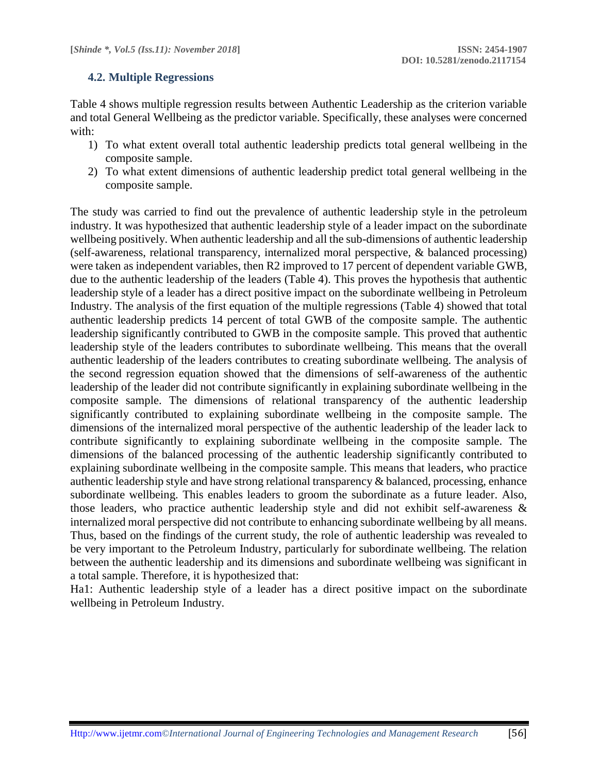#### **4.2. Multiple Regressions**

Table 4 shows multiple regression results between Authentic Leadership as the criterion variable and total General Wellbeing as the predictor variable. Specifically, these analyses were concerned with:

- 1) To what extent overall total authentic leadership predicts total general wellbeing in the composite sample.
- 2) To what extent dimensions of authentic leadership predict total general wellbeing in the composite sample.

The study was carried to find out the prevalence of authentic leadership style in the petroleum industry. It was hypothesized that authentic leadership style of a leader impact on the subordinate wellbeing positively. When authentic leadership and all the sub-dimensions of authentic leadership (self-awareness, relational transparency, internalized moral perspective, & balanced processing) were taken as independent variables, then R2 improved to 17 percent of dependent variable GWB, due to the authentic leadership of the leaders (Table 4). This proves the hypothesis that authentic leadership style of a leader has a direct positive impact on the subordinate wellbeing in Petroleum Industry. The analysis of the first equation of the multiple regressions (Table 4) showed that total authentic leadership predicts 14 percent of total GWB of the composite sample. The authentic leadership significantly contributed to GWB in the composite sample. This proved that authentic leadership style of the leaders contributes to subordinate wellbeing. This means that the overall authentic leadership of the leaders contributes to creating subordinate wellbeing. The analysis of the second regression equation showed that the dimensions of self-awareness of the authentic leadership of the leader did not contribute significantly in explaining subordinate wellbeing in the composite sample. The dimensions of relational transparency of the authentic leadership significantly contributed to explaining subordinate wellbeing in the composite sample. The dimensions of the internalized moral perspective of the authentic leadership of the leader lack to contribute significantly to explaining subordinate wellbeing in the composite sample. The dimensions of the balanced processing of the authentic leadership significantly contributed to explaining subordinate wellbeing in the composite sample. This means that leaders, who practice authentic leadership style and have strong relational transparency & balanced, processing, enhance subordinate wellbeing. This enables leaders to groom the subordinate as a future leader. Also, those leaders, who practice authentic leadership style and did not exhibit self-awareness & internalized moral perspective did not contribute to enhancing subordinate wellbeing by all means. Thus, based on the findings of the current study, the role of authentic leadership was revealed to be very important to the Petroleum Industry, particularly for subordinate wellbeing. The relation between the authentic leadership and its dimensions and subordinate wellbeing was significant in a total sample. Therefore, it is hypothesized that:

Ha1: Authentic leadership style of a leader has a direct positive impact on the subordinate wellbeing in Petroleum Industry.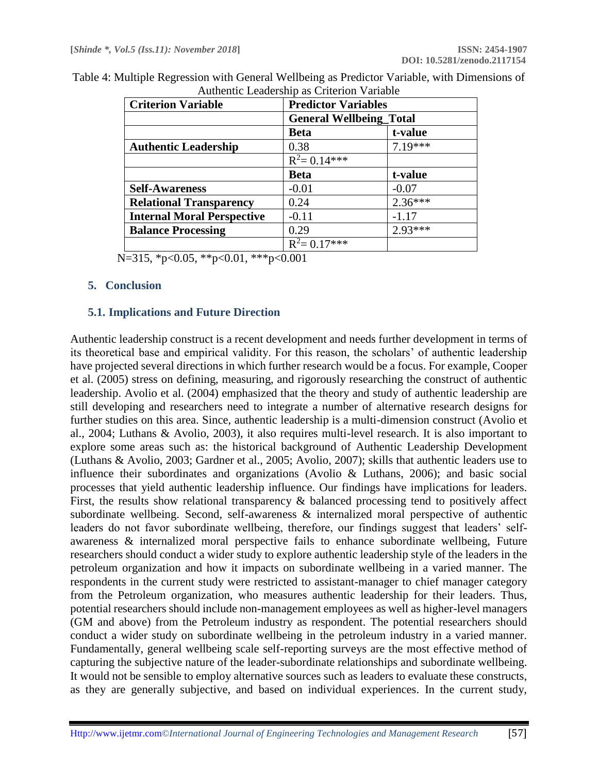| <b>Criterion Variable</b>         | <b>Predictor Variables</b>     |           |  |
|-----------------------------------|--------------------------------|-----------|--|
|                                   | <b>General Wellbeing_Total</b> |           |  |
|                                   | <b>Beta</b>                    | t-value   |  |
| <b>Authentic Leadership</b>       | 0.38                           | $7.19***$ |  |
|                                   | $R^2 = 0.14***$                |           |  |
|                                   | <b>Beta</b>                    | t-value   |  |
| <b>Self-Awareness</b>             | $-0.01$                        | $-0.07$   |  |
| <b>Relational Transparency</b>    | 0.24                           | $2.36***$ |  |
| <b>Internal Moral Perspective</b> | $-0.11$                        | $-1.17$   |  |
| <b>Balance Processing</b>         | 0.29                           | $2.93***$ |  |
|                                   | $R^2 = 0.17***$                |           |  |

Table 4: Multiple Regression with General Wellbeing as Predictor Variable, with Dimensions of Authentic Leadership as Criterion Variable

N=315, \*p<0.05, \*\*p<0.01, \*\*\*p<0.001

#### **5. Conclusion**

#### **5.1. Implications and Future Direction**

Authentic leadership construct is a recent development and needs further development in terms of its theoretical base and empirical validity. For this reason, the scholars' of authentic leadership have projected several directions in which further research would be a focus. For example, Cooper et al. (2005) stress on defining, measuring, and rigorously researching the construct of authentic leadership. Avolio et al. (2004) emphasized that the theory and study of authentic leadership are still developing and researchers need to integrate a number of alternative research designs for further studies on this area. Since, authentic leadership is a multi-dimension construct (Avolio et al., 2004; Luthans & Avolio, 2003), it also requires multi-level research. It is also important to explore some areas such as: the historical background of Authentic Leadership Development (Luthans & Avolio, 2003; Gardner et al., 2005; Avolio, 2007); skills that authentic leaders use to influence their subordinates and organizations (Avolio & Luthans, 2006); and basic social processes that yield authentic leadership influence. Our findings have implications for leaders. First, the results show relational transparency & balanced processing tend to positively affect subordinate wellbeing. Second, self-awareness & internalized moral perspective of authentic leaders do not favor subordinate wellbeing, therefore, our findings suggest that leaders' selfawareness & internalized moral perspective fails to enhance subordinate wellbeing, Future researchers should conduct a wider study to explore authentic leadership style of the leaders in the petroleum organization and how it impacts on subordinate wellbeing in a varied manner. The respondents in the current study were restricted to assistant-manager to chief manager category from the Petroleum organization, who measures authentic leadership for their leaders. Thus, potential researchers should include non-management employees as well as higher-level managers (GM and above) from the Petroleum industry as respondent. The potential researchers should conduct a wider study on subordinate wellbeing in the petroleum industry in a varied manner. Fundamentally, general wellbeing scale self-reporting surveys are the most effective method of capturing the subjective nature of the leader-subordinate relationships and subordinate wellbeing. It would not be sensible to employ alternative sources such as leaders to evaluate these constructs, as they are generally subjective, and based on individual experiences. In the current study,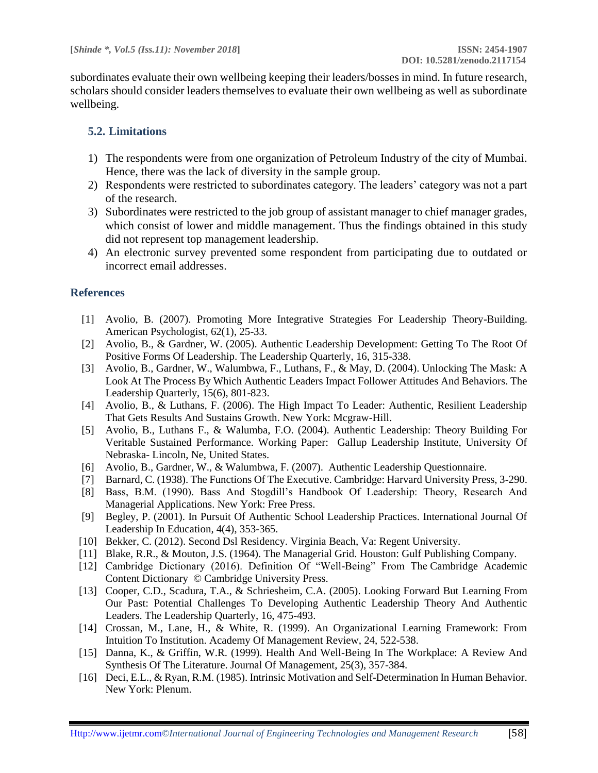subordinates evaluate their own wellbeing keeping their leaders/bosses in mind. In future research, scholars should consider leaders themselves to evaluate their own wellbeing as well as subordinate wellbeing.

# **5.2. Limitations**

- 1) The respondents were from one organization of Petroleum Industry of the city of Mumbai. Hence, there was the lack of diversity in the sample group.
- 2) Respondents were restricted to subordinates category. The leaders' category was not a part of the research.
- 3) Subordinates were restricted to the job group of assistant manager to chief manager grades, which consist of lower and middle management. Thus the findings obtained in this study did not represent top management leadership.
- 4) An electronic survey prevented some respondent from participating due to outdated or incorrect email addresses.

# **References**

- [1] Avolio, B. (2007). Promoting More Integrative Strategies For Leadership Theory-Building. American Psychologist, 62(1), 25-33.
- [2] Avolio, B., & Gardner, W. (2005). Authentic Leadership Development: Getting To The Root Of Positive Forms Of Leadership. The Leadership Quarterly, 16, 315-338.
- [3] Avolio, B., Gardner, W., Walumbwa, F., Luthans, F., & May, D. (2004). Unlocking The Mask: A Look At The Process By Which Authentic Leaders Impact Follower Attitudes And Behaviors. The Leadership Quarterly, 15(6), 801-823.
- [4] Avolio, B., & Luthans, F. (2006). The High Impact To Leader: Authentic, Resilient Leadership That Gets Results And Sustains Growth. New York: Mcgraw-Hill.
- [5] Avolio, B., Luthans F., & Walumba, F.O. (2004). Authentic Leadership: Theory Building For Veritable Sustained Performance. Working Paper: Gallup Leadership Institute, University Of Nebraska- Lincoln, Ne, United States.
- [6] Avolio, B., Gardner, W., & Walumbwa, F. (2007). Authentic Leadership Questionnaire.
- [7] Barnard, C. (1938). The Functions Of The Executive. Cambridge: Harvard University Press, 3-290.
- [8] Bass, B.M. (1990). Bass And Stogdill's Handbook Of Leadership: Theory, Research And Managerial Applications. New York: Free Press.
- [9] Begley, P. (2001). In Pursuit Of Authentic School Leadership Practices. International Journal Of Leadership In Education, 4(4), 353-365.
- [10] Bekker, C. (2012). Second Dsl Residency. Virginia Beach, Va: Regent University.
- [11] Blake, R.R., & Mouton, J.S. (1964). The Managerial Grid. Houston: Gulf Publishing Company.
- [12] Cambridge Dictionary (2016). Definition Of "Well-Being" From The [Cambridge Academic](http://dictionary.cambridge.org/us/dictionary/english/)  Content [Dictionary](http://dictionary.cambridge.org/us/dictionary/english/) © Cambridge University Press.
- [13] Cooper, C.D., Scadura, T.A., & Schriesheim, C.A. (2005). Looking Forward But Learning From Our Past: Potential Challenges To Developing Authentic Leadership Theory And Authentic Leaders. The Leadership Quarterly, 16, 475-493.
- [14] Crossan, M., Lane, H., & White, R. (1999). An Organizational Learning Framework: From Intuition To Institution. Academy Of Management Review, 24, 522-538.
- [15] Danna, K., & Griffin, W.R. (1999). Health And Well-Being In The Workplace: A Review And Synthesis Of The Literature. Journal Of Management, 25(3), 357-384.
- [16] Deci, E.L., & Ryan, R.M. (1985). Intrinsic Motivation and Self-Determination In Human Behavior. New York: Plenum.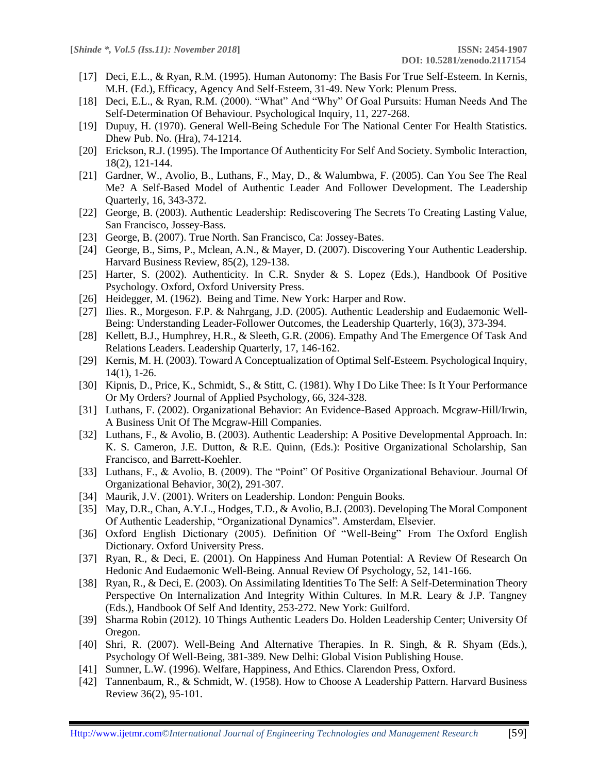- [17] Deci, E.L., & Ryan, R.M. (1995). Human Autonomy: The Basis For True Self-Esteem. In Kernis, M.H. (Ed.), Efficacy, Agency And Self-Esteem, 31-49. New York: Plenum Press.
- [18] Deci, E.L., & Ryan, R.M. (2000). "What" And "Why" Of Goal Pursuits: Human Needs And The Self-Determination Of Behaviour. Psychological Inquiry, 11, 227-268.
- [19] Dupuy, H. (1970). General Well-Being Schedule For The National Center For Health Statistics. Dhew Pub. No. (Hra), 74-1214.
- [20] Erickson, R.J. (1995). The Importance Of Authenticity For Self And Society. Symbolic Interaction, 18(2), 121-144.
- [21] Gardner, W., Avolio, B., Luthans, F., May, D., & Walumbwa, F. (2005). Can You See The Real Me? A Self-Based Model of Authentic Leader And Follower Development. The Leadership Quarterly, 16, 343-372.
- [22] George, B. (2003). Authentic Leadership: Rediscovering The Secrets To Creating Lasting Value, San Francisco, Jossey-Bass.
- [23] George, B. (2007). True North. San Francisco, Ca: Jossey-Bates.
- [24] George, B., Sims, P., Mclean, A.N., & Mayer, D. (2007). Discovering Your Authentic Leadership. Harvard Business Review, 85(2), 129-138.
- [25] Harter, S. (2002). Authenticity. In C.R. Snyder & S. Lopez (Eds.), Handbook Of Positive Psychology. Oxford, Oxford University Press.
- [26] Heidegger, M. (1962). Being and Time. New York: Harper and Row.
- [27] Ilies. R., Morgeson. F.P. & Nahrgang, J.D. (2005). Authentic Leadership and Eudaemonic Well-Being: Understanding Leader-Follower Outcomes, the Leadership Quarterly, 16(3), 373-394.
- [28] Kellett, B.J., Humphrey, H.R., & Sleeth, G.R. (2006). Empathy And The Emergence Of Task And Relations Leaders. Leadership Quarterly, 17, 146-162.
- [29] Kernis, M. H. (2003). Toward A Conceptualization of Optimal Self-Esteem. Psychological Inquiry, 14(1), 1-26.
- [30] Kipnis, D., Price, K., Schmidt, S., & Stitt, C. (1981). Why I Do Like Thee: Is It Your Performance Or My Orders? Journal of Applied Psychology, 66, 324-328.
- [31] Luthans, F. (2002). Organizational Behavior: An Evidence-Based Approach. Mcgraw-Hill/Irwin, A Business Unit Of The Mcgraw-Hill Companies.
- [32] Luthans, F., & Avolio, B. (2003). Authentic Leadership: A Positive Developmental Approach. In: K. S. Cameron, J.E. Dutton, & R.E. Quinn, (Eds.): Positive Organizational Scholarship, San Francisco, and Barrett-Koehler.
- [33] Luthans, F., & Avolio, B. (2009). The "Point" Of Positive Organizational Behaviour. Journal Of Organizational Behavior, 30(2), 291-307.
- [34] Maurik, J.V. (2001). Writers on Leadership. London: Penguin Books.
- [35] May, D.R., Chan, A.Y.L., Hodges, T.D., & Avolio, B.J. (2003). Developing The Moral Component Of Authentic Leadership, "Organizational Dynamics". Amsterdam, Elsevier.
- [36] Oxford English Dictionary (2005). Definition Of "Well-Being" From The Oxford English Dictionary. Oxford University Press.
- [37] Ryan, R., & Deci, E. (2001). On Happiness And Human Potential: A Review Of Research On Hedonic And Eudaemonic Well-Being. Annual Review Of Psychology, 52, 141-166.
- [38] Ryan, R., & Deci, E. (2003). On Assimilating Identities To The Self: A Self-Determination Theory Perspective On Internalization And Integrity Within Cultures. In M.R. Leary & J.P. Tangney (Eds.), Handbook Of Self And Identity, 253-272. New York: Guilford.
- [39] Sharma Robin (2012). 10 Things Authentic Leaders Do. Holden Leadership Center; University Of Oregon.
- [40] Shri, R. (2007). Well-Being And Alternative Therapies. In R. Singh, & R. Shyam (Eds.), Psychology Of Well-Being, 381-389. New Delhi: Global Vision Publishing House.
- [41] Sumner, L.W. (1996). Welfare, Happiness, And Ethics. Clarendon Press, Oxford.
- [42] Tannenbaum, R., & Schmidt, W. (1958). How to Choose A Leadership Pattern. Harvard Business Review 36(2), 95-101.